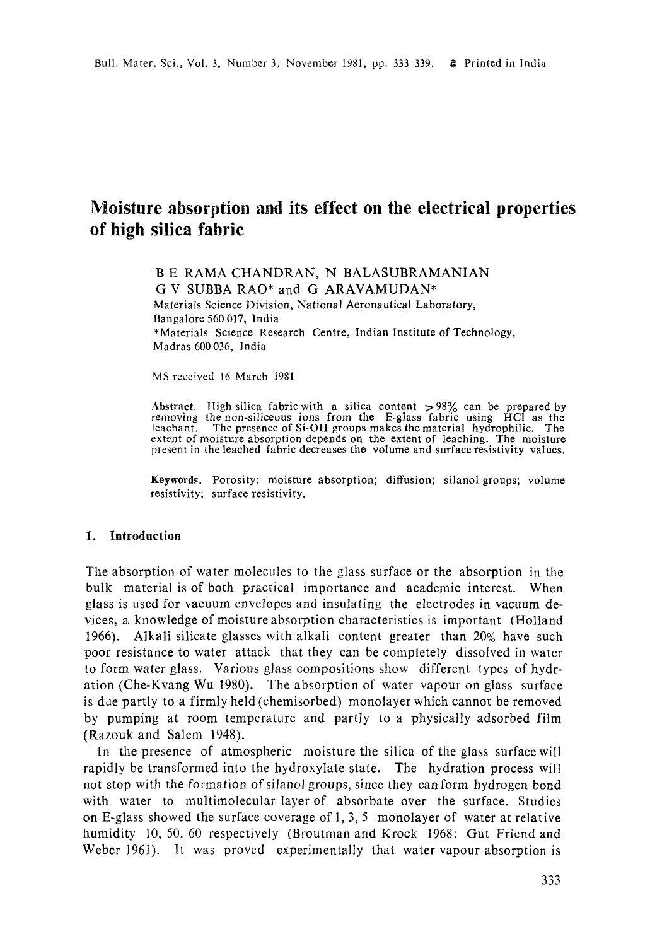# **Moisture absorption and its effect on the electrical properties of high silica fabric**

B E RAMA CHANDRAN, N BALASUBRAMANIAN G V SUBBA RAO\* and G ARAVAMUDAN\* Materials Science Division, National Aeronautical Laboratory, Bangalore 560 017, India \*Materials Science Research Centre, Indian Institute of Technology, Madras 600 036, India

MS received 16 March 1981

Abstract. High silica fabric with a silica content >98% can be prepared by removing the non-siliceous ions from the E-glass fabric using HC1 as the leachant. The presence of Si-OH groups makes the material hydrophilic. The extent of moisture absorption depends on the extent of leaching. The moisture present in the leached fabric decreases the volume and surface resistivity values.

Keywords. Porosity; moisture absorption; diffusion; silanol groups; volume resistivity; surface resistivity.

#### 1. Introduction

The absorption of water molecules to the glass surface or the absorption in the bulk material is of both practical importance and academic interest. When glass is used for vacuum envelopes and insulating the electrodes in vacuum devices, a knowledge of moisture absorption characteristics is important (Holland 1966). Alkali silicate glasses with alkali content greater than 20% have such poor resistance to water attack that they can be completely dissolved in water to form water glass. Various glass compositions show different types of hydration (Che-Kvang Wu 1980). The absorption of water vapour on glass surface is dae partly to a firmly held (chemisorbed) monolayer which cannot be removed by pumping at room temperature and partly to a physically adsorbed film (Razouk and Salem 1948).

In the presence of atmospheric moisture the silica of the glass surface will rapidly be transformed into the hydroxylate state. The hydration process will not stop with the formation of silanol groups, since they can form hydrogen bond with water to multimolecular layer of absorbate over the surface. Studies on E-glass showed the surface coverage of 1, 3, 5 monolayer of water at relative humidity 10, 50, 60 respectively (Broutman and Krock 1968: Gut Friend and Weber 1961). It was proved experimentally that water vapour absorption is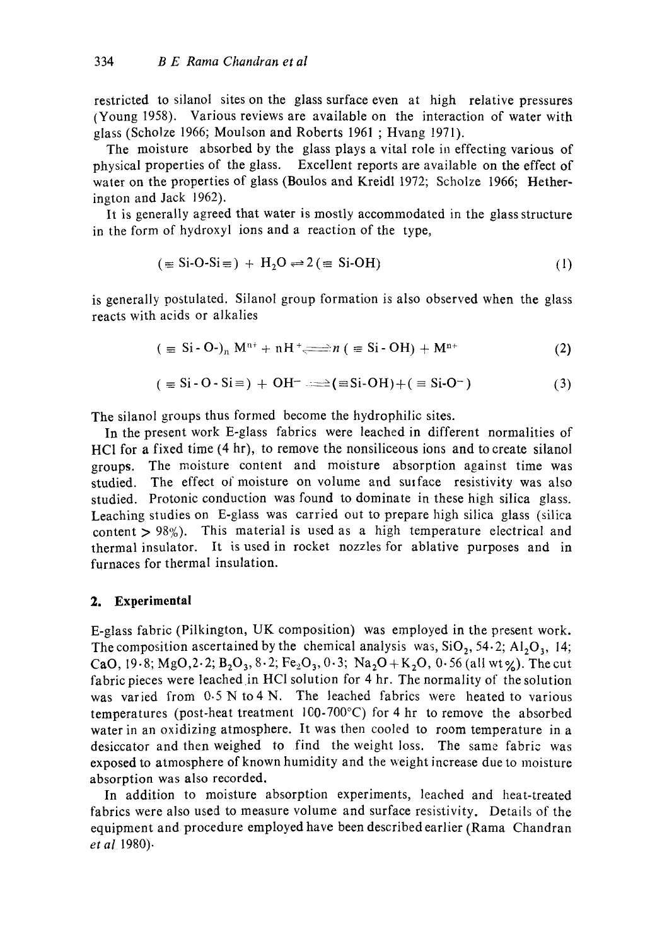restricted to silanol sites on the glass surface even at high relative pressures (Young 1958). Various reviews are available on the interaction of water with glass (Scholze 1966; Moulson and Roberts 1961 ; Hvang 1971).

The moisture absorbed by the glass plays a vital role in effecting various of physical properties of the glass. Excellent reports are available on the effect of water on the properties of glass (Boulos and Kreidl 1972; Scholze 1966; Hetherington and Jack 1962).

It is generally agreed that water is mostly accommodated in the glass structure in the form of hydroxyl ions and a reaction of the type,

$$
(\equiv \text{Si-O-Si} \equiv) + \text{H}_2\text{O} \rightleftharpoons 2 (\equiv \text{Si-OH}) \tag{1}
$$

is generally postulated. Silanol group formation is also observed when the glass reacts with acids or alkalies

$$
(\equiv \text{Si} \cdot \text{O} \cdot)_n \text{M}^{n+} + n\text{H}^+ \Longrightarrow n (\equiv \text{Si} \cdot \text{OH}) + \text{M}^{n+}
$$
 (2)

$$
(\equiv \text{Si} \cdot \text{O} \cdot \text{Si} \equiv) + \text{OH}^{-} \implies (\equiv \text{Si} \cdot \text{OH}) + (\equiv \text{Si} \cdot \text{O}^{-})
$$
 (3)

The silanol groups thus formed become the hydrophilic sites.

In the present work E-glass fabrics were leached in different normalities of HCI for a fixed time (4 hr), to remove the nonsiliceous ions and to create silanol groups. The moisture content and moisture absorption against time was studied. The effect of moisture on volume and surface resistivity was also studied. Protonic conduction was found to dominate in these high silica glass. Leaching studies on E-glass was carried out to prepare high silica glass (silica content  $> 98\%$ ). This material is used as a high temperature electrical and thermal insulator. It is used in rocket nozzles for ablative purposes and in furnaces for thermal insulation.

#### **2. Experimental**

E-glass fabric (Pilkington, UK composition) was employed in the present work. The composition ascertained by the chemical analysis was,  $SiO_2$ , 54.2;  $Al_2O_3$ , 14; CaO, 19.8; MgO, 2.2;  $B_2O_3$ , 8.2; Fe<sub>2</sub>O<sub>3</sub>, 0.3; Na<sub>2</sub>O + K<sub>2</sub>O, 0.56 (all wt %). The cut fabric pieces were leached in HC1 solution for 4 hr. The normality of the solution was varied from  $0.5 \text{ N}$  to 4 N. The leached fabrics were heated to various temperatures (post-heat treatment  $100-700^{\circ}$ C) for 4 hr to remove the absorbed water in an oxidizing atmosphere. It was then cooled to room temperature in a desiccator and then weighed to find the weight loss. The same fabric was exposed to atmosphere of known humidity and the weight increase due to moisture absorption was also recorded.

In addition to moisture absorption experiments, leached and heat-treated fabrics were also used to measure volume and surface resistivity. Details of the equipment and procedure employed have been described earlier (Rama Chandran *et al* 1980).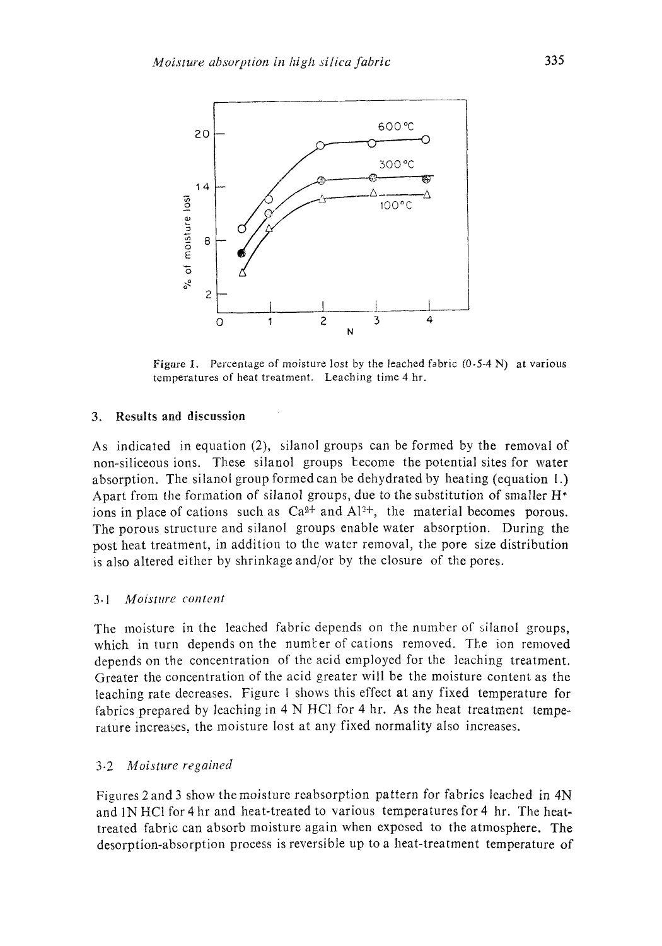

Figure 1. Percentage of moisture lost by the leached fabric  $(0.5-4 N)$  at various temperatures of heat treatment. Leaching time 4 hr.

#### **3. Results and discussion**

As indicated in equation (2), silanol groups can be formed by the removal of non-siliceous ions. These silanol groups lcecome the potential sites for water absorption. The silanol group formed can be dehydrated by heating (equation l.) Apart from the formation of silanol groups, due to the substitution of smaller  $H^+$ ions in place of cations such as  $Ca^{2+}$  and  $Al^{2+}$ , the material becomes porous. The porous structure and silanol groups enable water absorption. During the post heat treatment, in addition to the water removal, the pore size distribution is also altered either by shrinkage and/or by the closure of the pores.

#### *3.1 Moisture content*

The moisture in the leached fabric depends on the number of silanol groups, which in turn depends on the number of cations removed. The ion removed depends on the concentration of the acid employed for the leaching treatment. Greater the concentration of the acid greater will be the moisture content as the leaching rate decreases. Figure I shows this effect at any fixed temperature for fabrics prepared by leaching in 4 N HCl for 4 hr. As the heat treatment temperature increases, the moisture lost at any fixed normality also increases.

#### 3-2 *Moisture regained*

Figures 2 and 3 show the moisture reabsorption pattern for fabrics leached in 4N and lN HC1 for 4 hr and heat-treated to various temperatures for 4 hr. The heattreated fabric can absorb moisture again when exposed to the atmosphere. The desorption-absorption process is reversible up to a heat-treatment temperature of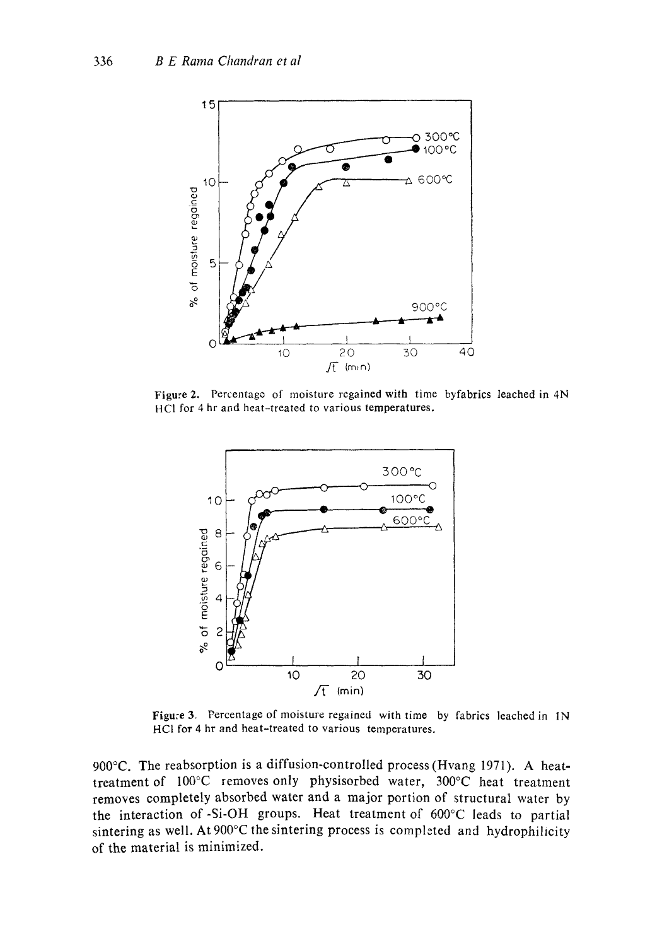

Figure 2. Percentage of moisture regained with time byfabrics leached in 4N HC1 for 4 hr and heat-treated to various temperatures.



Figure 3. Percentage of moisture regained with time by fabrics leached in 1N HCI for 4 hr and heat-treated to various temperatures.

900°C. The reabsorption is a diffusion-controlled process (Hvang 1971). A heattreatment of 100°C removes only physisorbed water, 300°C heat treatment removes completely absorbed water and a major portion of structural water by the interaction of-Si-OH groups. Heat treatment of 600°C leads to partial sintering as well. At 900°C the sintering process is completed and hydrophilicity of the material is minimized.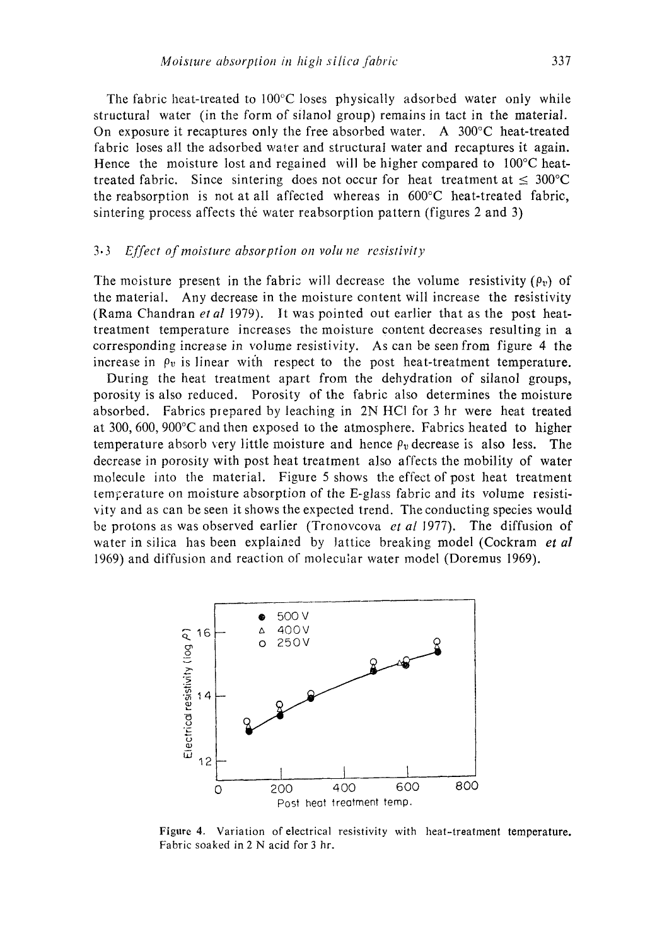The fabric heat-treated to  $100^{\circ}$ C loses physically adsorbed water only while structural water (in the form of silanol group) remains in tact in the material. On exposure it recaptures only the free absorbed water. A  $300^{\circ}$ C heat-treated fabric loses all the adsorbed water and structural water and recaptures it again. Hence the moisture lost and regained will be higher compared to 100°C heattreated fabric. Since sintering does not occur for heat treatment at  $\leq 300^{\circ}$ C the reabsorption is not at all affected whereas in 600°C heat-treated fabric, sintering process affects the water reabsorption pattern (figures 2 and 3)

## *3.3 Effect of moisture absorption on volu ne resistivity*

The moisture present in the fabric will decrease the volume resistivity  $(\rho_v)$  of the material. Any decrease in the moisture content will increase the resistivity (Rama Chandran *etal* 1979). It was pointed out earlier that as the post heattreatment temperature increases the moisture content decreases resulting in a corresponding increase in volume resistivity. As can be seen from figure 4 the increase in  $\rho_v$  is linear with respect to the post heat-treatment temperature.

During the heat treatment apart from the dehydration of silanol groups, porosity is also reduced. Porosity of the fabric also determines the moisture absorbed. Fabrics prepared by leaching in 2N HCI for 3 hr were heat treated at 300, 600, 900°C and then exposed to the atmosphere. Fabrics heated to higher temperature absorb very little moisture and hence  $\rho_v$  decrease is also less. The decrease in porosity with post heat treatment also affects the mobility of water molecule into the material. Figure 5 shows the effect of post heat treatment temperature on moisture absorption of the E-glass fabric and its volume resistivity and as can be seen it shows the expected trend. The conducting species would be protons as was observed earlier (Trenovcova *et al* 1977). The diffusion of water in silica has been explained by lattice breaking model (Cockram *et al*  1969) and diffusion and reaction of molecular water model (Doremus 1969).



Figure 4. Variation of electrical resistivity with heat-treatment temperature. Fabric soaked in 2 N acid for 3 hr.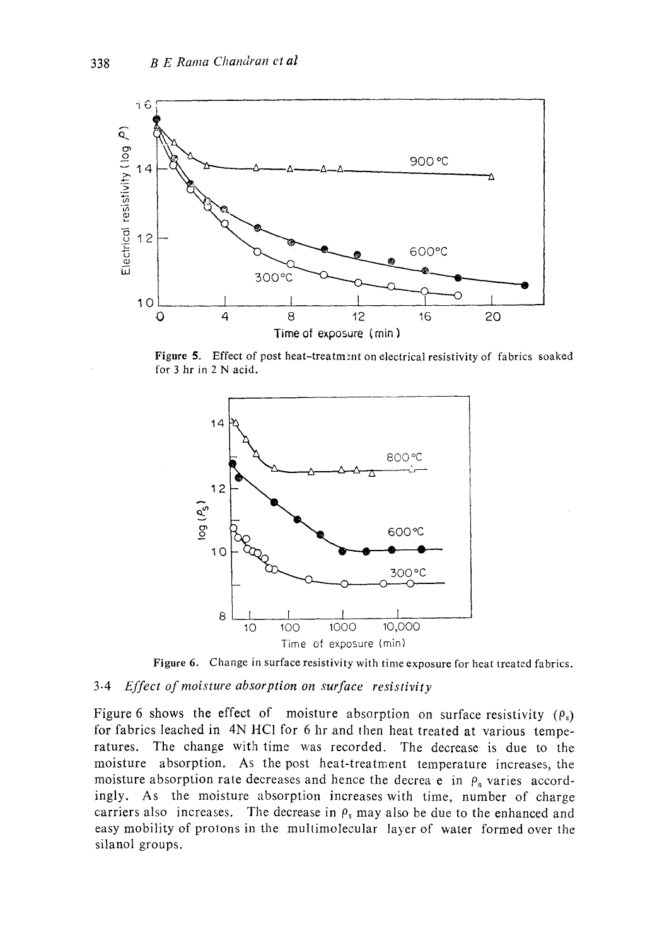

Figure 5. Effect of post heat-treatment on electrical resistivity of fabrics soaked for 3 hr in 2 N acid.



Figure 6. Change in surface resistivity with time exposure for heat treated fabrics.

### 3-4 *Effect of moisture absorption on surface resistivity*

Figure 6 shows the effect of moisture absorption on surface resistivity  $(\rho_s)$ for fabrics leached in 4N HCl for 6 hr and then heat treated at various temperatures. The change with time was recorded. The decrease is due to the moisture absorption. As the post heat-treatment temperature increases, the moisture absorption rate decreases and hence the decrea e in  $\rho_s$  varies accordingly. As the moisture absorption increases with time, number of charge carriers also increases. The decrease in  $\rho_s$  may also be due to the enhanced and easy mobility of protons in the multimolecular layer of water formed over the silanol groups.